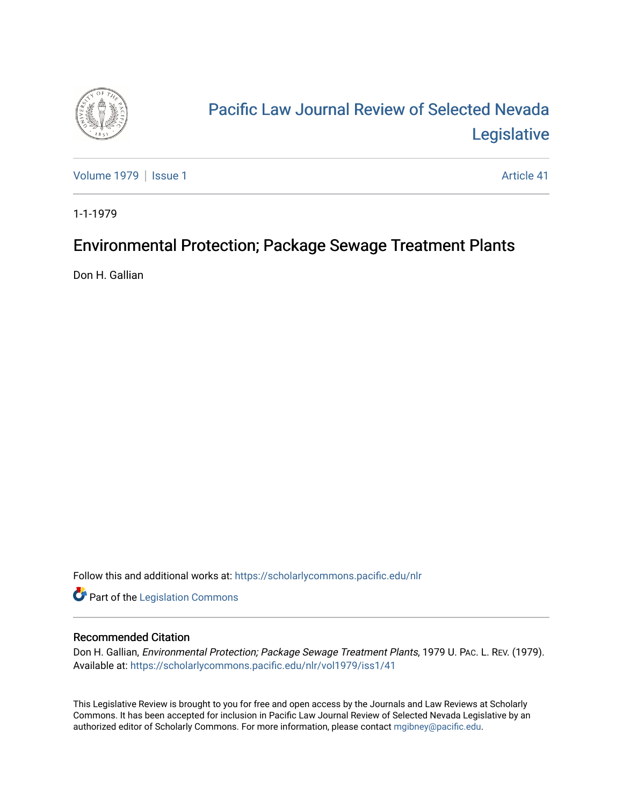

# [Pacific Law Journal Review of Selected Nevada](https://scholarlycommons.pacific.edu/nlr)  [Legislative](https://scholarlycommons.pacific.edu/nlr)

[Volume 1979](https://scholarlycommons.pacific.edu/nlr/vol1979) | [Issue 1](https://scholarlycommons.pacific.edu/nlr/vol1979/iss1) Article 41

1-1-1979

## Environmental Protection; Package Sewage Treatment Plants

Don H. Gallian

Follow this and additional works at: [https://scholarlycommons.pacific.edu/nlr](https://scholarlycommons.pacific.edu/nlr?utm_source=scholarlycommons.pacific.edu%2Fnlr%2Fvol1979%2Fiss1%2F41&utm_medium=PDF&utm_campaign=PDFCoverPages) 

**Part of the [Legislation Commons](http://network.bepress.com/hgg/discipline/859?utm_source=scholarlycommons.pacific.edu%2Fnlr%2Fvol1979%2Fiss1%2F41&utm_medium=PDF&utm_campaign=PDFCoverPages)** 

### Recommended Citation

Don H. Gallian, Environmental Protection; Package Sewage Treatment Plants, 1979 U. PAC. L. REV. (1979). Available at: [https://scholarlycommons.pacific.edu/nlr/vol1979/iss1/41](https://scholarlycommons.pacific.edu/nlr/vol1979/iss1/41?utm_source=scholarlycommons.pacific.edu%2Fnlr%2Fvol1979%2Fiss1%2F41&utm_medium=PDF&utm_campaign=PDFCoverPages)

This Legislative Review is brought to you for free and open access by the Journals and Law Reviews at Scholarly Commons. It has been accepted for inclusion in Pacific Law Journal Review of Selected Nevada Legislative by an authorized editor of Scholarly Commons. For more information, please contact [mgibney@pacific.edu](mailto:mgibney@pacific.edu).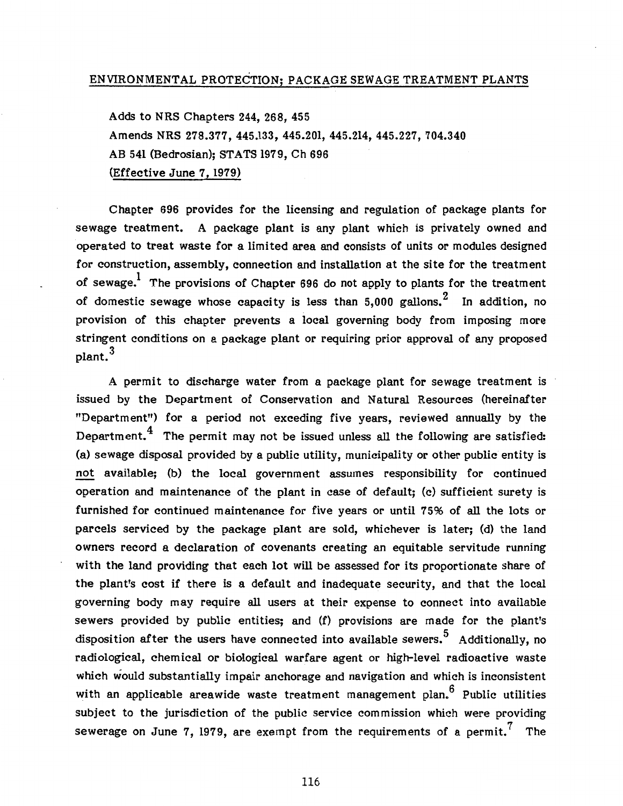### ENVIRONMENTAL PROTECTION; PACKAGE SEWAGE TREATMENT PLANTS

Adds to NRS Chapters 244, 268, 455 Amends NRS 278.377, 445.133, 445.201, 445.214, 445.227, 704.340 AB 541 (Bedrosian); STATS 1979, Ch 696 (Effective June 7, 1979)

Chapter 696 provides for the licensing and regulation of package plants for sewage treatment. A package plant is any plant which is privately owned and operated to treat waste for a limited area and consists of units or modules designed for construction, assembly, connection and installation at the site for the treatment of sewage. The provisions of Chapter 696 do not apply to plants for the treatment of domestic sewage whose capacity is less than 5.000 gallons.<sup>2</sup> In addition, no provision of this chapter prevents a local governing body from imposing more stringent conditions on a package plant or requiring prior approval of any proposed plant. 3

A permit to discharge water from a package plant for sewage treatment is issued by the Department of Conservation and Natural Resources (hereinafter "Department") for a period not exceding five years, reviewed annually by the Department.<sup>4</sup> The permit may not be issued unless all the following are satisfied: (a) sewage disposal provided by a public utility, municipality or other public entity is not available; (b) the local government assumes responsibility for continued operation and maintenance of the plant in case of default; (c) sufficient surety is furnished for continued maintenance for five years or until 75% of all the lots or parcels serviced by the package plant are sold, whichever is later; (d) the land owners record a declaration of covenants creating an equitable servitude running with the land providing that each lot will be assessed for its proportionate share of the plant's cost if there is a default and inadequate security, and that the local governing body may require all users at their expense to connect into available sewers provided by public entities; and (f) provisions are made for the plant's disposition after the users have connected into available sewers.<sup>5</sup> Additionally, no radiological, chemical or biological warfare agent or high-level radioactive waste which would substantially impair anchorage and navigation and which is inconsistent with an applicable areawide waste treatment management plan.<sup>6</sup> Public utilities subject to the jurisdiction of the public service commission which were providing sewerage on June 7, 1979, are exempt from the requirements of a permit.<sup>7</sup> The

116